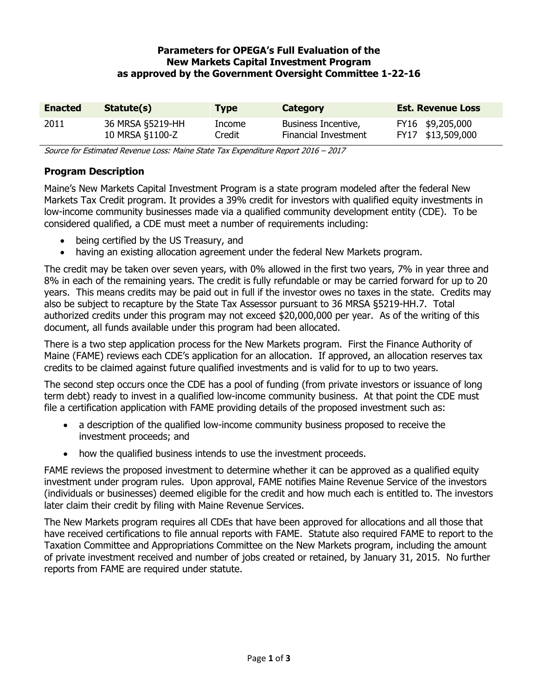## **Parameters for OPEGA's Full Evaluation of the New Markets Capital Investment Program as approved by the Government Oversight Committee 1-22-16**

| <b>Enacted</b> | Statute(s)       | <b>Type</b> | Category                    | <b>Est. Revenue Loss</b> |
|----------------|------------------|-------------|-----------------------------|--------------------------|
| 2011           | 36 MRSA §5219-HH | Income      | Business Incentive,         | FY16 \$9,205,000         |
|                | 10 MRSA §1100-Z  | Credit      | <b>Financial Investment</b> | FY17 \$13,509,000        |

Source for Estimated Revenue Loss: Maine State Tax Expenditure Report 2016 – 2017

## **Program Description**

Maine's New Markets Capital Investment Program is a state program modeled after the federal New Markets Tax Credit program. It provides a 39% credit for investors with qualified equity investments in low-income community businesses made via a qualified community development entity (CDE). To be considered qualified, a CDE must meet a number of requirements including:

- being certified by the US Treasury, and
- having an existing allocation agreement under the federal New Markets program.

The credit may be taken over seven years, with 0% allowed in the first two years, 7% in year three and 8% in each of the remaining years. The credit is fully refundable or may be carried forward for up to 20 years. This means credits may be paid out in full if the investor owes no taxes in the state. Credits may also be subject to recapture by the State Tax Assessor pursuant to 36 MRSA §5219-HH.7. Total authorized credits under this program may not exceed \$20,000,000 per year. As of the writing of this document, all funds available under this program had been allocated.

There is a two step application process for the New Markets program. First the Finance Authority of Maine (FAME) reviews each CDE's application for an allocation. If approved, an allocation reserves tax credits to be claimed against future qualified investments and is valid for to up to two years.

The second step occurs once the CDE has a pool of funding (from private investors or issuance of long term debt) ready to invest in a qualified low-income community business. At that point the CDE must file a certification application with FAME providing details of the proposed investment such as:

- a description of the qualified low-income community business proposed to receive the investment proceeds; and
- how the qualified business intends to use the investment proceeds.

FAME reviews the proposed investment to determine whether it can be approved as a qualified equity investment under program rules. Upon approval, FAME notifies Maine Revenue Service of the investors (individuals or businesses) deemed eligible for the credit and how much each is entitled to. The investors later claim their credit by filing with Maine Revenue Services.

The New Markets program requires all CDEs that have been approved for allocations and all those that have received certifications to file annual reports with FAME. Statute also required FAME to report to the Taxation Committee and Appropriations Committee on the New Markets program, including the amount of private investment received and number of jobs created or retained, by January 31, 2015. No further reports from FAME are required under statute.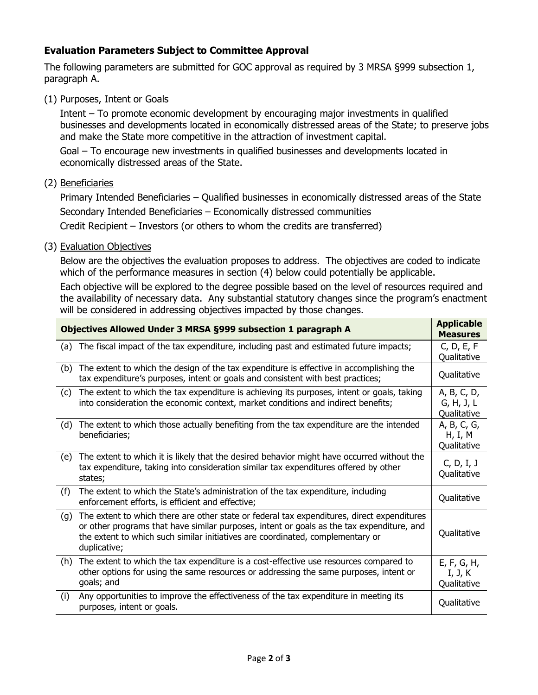## **Evaluation Parameters Subject to Committee Approval**

The following parameters are submitted for GOC approval as required by 3 MRSA §999 subsection 1, paragraph A.

(1) Purposes, Intent or Goals

Intent – To promote economic development by encouraging major investments in qualified businesses and developments located in economically distressed areas of the State; to preserve jobs and make the State more competitive in the attraction of investment capital.

Goal – To encourage new investments in qualified businesses and developments located in economically distressed areas of the State.

(2) Beneficiaries

Primary Intended Beneficiaries – Qualified businesses in economically distressed areas of the State Secondary Intended Beneficiaries – Economically distressed communities

Credit Recipient – Investors (or others to whom the credits are transferred)

(3) Evaluation Objectives

Below are the objectives the evaluation proposes to address. The objectives are coded to indicate which of the performance measures in section (4) below could potentially be applicable.

Each objective will be explored to the degree possible based on the level of resources required and the availability of necessary data. Any substantial statutory changes since the program's enactment will be considered in addressing objectives impacted by those changes.

| Objectives Allowed Under 3 MRSA §999 subsection 1 paragraph A |                                                                                                                                                                                                                                                                                           |                                          |  |
|---------------------------------------------------------------|-------------------------------------------------------------------------------------------------------------------------------------------------------------------------------------------------------------------------------------------------------------------------------------------|------------------------------------------|--|
| (a)                                                           | The fiscal impact of the tax expenditure, including past and estimated future impacts;                                                                                                                                                                                                    | C, D, E, F<br>Qualitative                |  |
| (b)                                                           | The extent to which the design of the tax expenditure is effective in accomplishing the<br>tax expenditure's purposes, intent or goals and consistent with best practices;                                                                                                                | Qualitative                              |  |
| (c)                                                           | The extent to which the tax expenditure is achieving its purposes, intent or goals, taking<br>into consideration the economic context, market conditions and indirect benefits;                                                                                                           | A, B, C, D,<br>G, H, J, L<br>Qualitative |  |
| (d)                                                           | The extent to which those actually benefiting from the tax expenditure are the intended<br>beneficiaries;                                                                                                                                                                                 | A, B, C, G,<br>H, I, M<br>Qualitative    |  |
| (e)                                                           | The extent to which it is likely that the desired behavior might have occurred without the<br>tax expenditure, taking into consideration similar tax expenditures offered by other<br>states;                                                                                             | C, D, I, J<br>Qualitative                |  |
| (f)                                                           | The extent to which the State's administration of the tax expenditure, including<br>enforcement efforts, is efficient and effective;                                                                                                                                                      | Qualitative                              |  |
| (g)                                                           | The extent to which there are other state or federal tax expenditures, direct expenditures<br>or other programs that have similar purposes, intent or goals as the tax expenditure, and<br>the extent to which such similar initiatives are coordinated, complementary or<br>duplicative; | Qualitative                              |  |
| (h)                                                           | The extent to which the tax expenditure is a cost-effective use resources compared to<br>other options for using the same resources or addressing the same purposes, intent or<br>goals; and                                                                                              | E, F, G, H,<br>I, J, K<br>Qualitative    |  |
| (i)                                                           | Any opportunities to improve the effectiveness of the tax expenditure in meeting its<br>purposes, intent or goals.                                                                                                                                                                        | Qualitative                              |  |